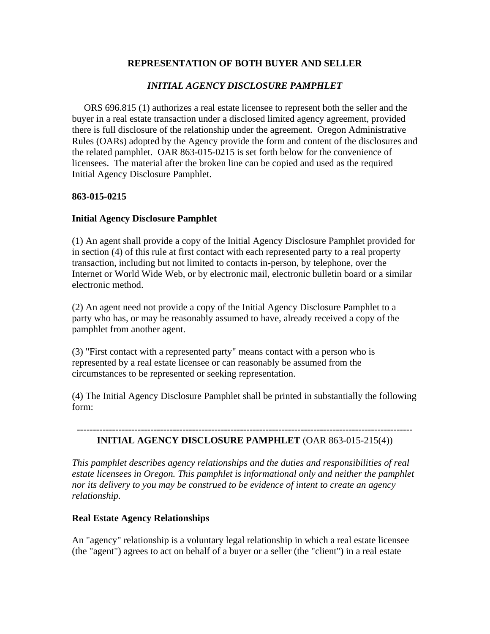## **REPRESENTATION OF BOTH BUYER AND SELLER**

# *INITIAL AGENCY DISCLOSURE PAMPHLET*

ORS 696.815 (1) authorizes a real estate licensee to represent both the seller and the buyer in a real estate transaction under a disclosed limited agency agreement, provided there is full disclosure of the relationship under the agreement. Oregon Administrative Rules (OARs) adopted by the Agency provide the form and content of the disclosures and the related pamphlet. OAR 863-015-0215 is set forth below for the convenience of licensees. The material after the broken line can be copied and used as the required Initial Agency Disclosure Pamphlet.

### **863-015-0215**

### **Initial Agency Disclosure Pamphlet**

(1) An agent shall provide a copy of the Initial Agency Disclosure Pamphlet provided for in section (4) of this rule at first contact with each represented party to a real property transaction, including but not limited to contacts in-person, by telephone, over the Internet or World Wide Web, or by electronic mail, electronic bulletin board or a similar electronic method.

(2) An agent need not provide a copy of the Initial Agency Disclosure Pamphlet to a party who has, or may be reasonably assumed to have, already received a copy of the pamphlet from another agent.

(3) "First contact with a represented party" means contact with a person who is represented by a real estate licensee or can reasonably be assumed from the circumstances to be represented or seeking representation.

(4) The Initial Agency Disclosure Pamphlet shall be printed in substantially the following form:

#### --------------------------------------------------------------------------------------------------------- **INITIAL AGENCY DISCLOSURE PAMPHLET** (OAR 863-015-215(4))

*This pamphlet describes agency relationships and the duties and responsibilities of real estate licensees in Oregon. This pamphlet is informational only and neither the pamphlet nor its delivery to you may be construed to be evidence of intent to create an agency relationship.* 

## **Real Estate Agency Relationships**

An "agency" relationship is a voluntary legal relationship in which a real estate licensee (the "agent") agrees to act on behalf of a buyer or a seller (the "client") in a real estate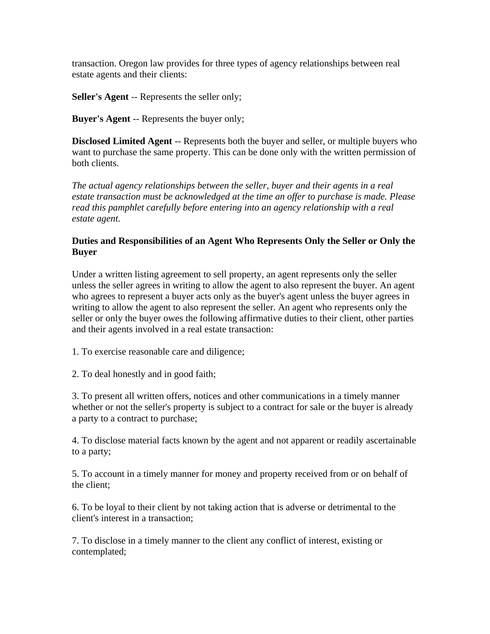transaction. Oregon law provides for three types of agency relationships between real estate agents and their clients:

**Seller's Agent** -- Represents the seller only;

**Buyer's Agent** -- Represents the buyer only;

**Disclosed Limited Agent** -- Represents both the buyer and seller, or multiple buyers who want to purchase the same property. This can be done only with the written permission of both clients.

*The actual agency relationships between the seller, buyer and their agents in a real estate transaction must be acknowledged at the time an offer to purchase is made. Please read this pamphlet carefully before entering into an agency relationship with a real estate agent.* 

### **Duties and Responsibilities of an Agent Who Represents Only the Seller or Only the Buyer**

Under a written listing agreement to sell property, an agent represents only the seller unless the seller agrees in writing to allow the agent to also represent the buyer. An agent who agrees to represent a buyer acts only as the buyer's agent unless the buyer agrees in writing to allow the agent to also represent the seller. An agent who represents only the seller or only the buyer owes the following affirmative duties to their client, other parties and their agents involved in a real estate transaction:

1. To exercise reasonable care and diligence;

2. To deal honestly and in good faith;

3. To present all written offers, notices and other communications in a timely manner whether or not the seller's property is subject to a contract for sale or the buyer is already a party to a contract to purchase;

4. To disclose material facts known by the agent and not apparent or readily ascertainable to a party;

5. To account in a timely manner for money and property received from or on behalf of the client;

6. To be loyal to their client by not taking action that is adverse or detrimental to the client's interest in a transaction;

7. To disclose in a timely manner to the client any conflict of interest, existing or contemplated;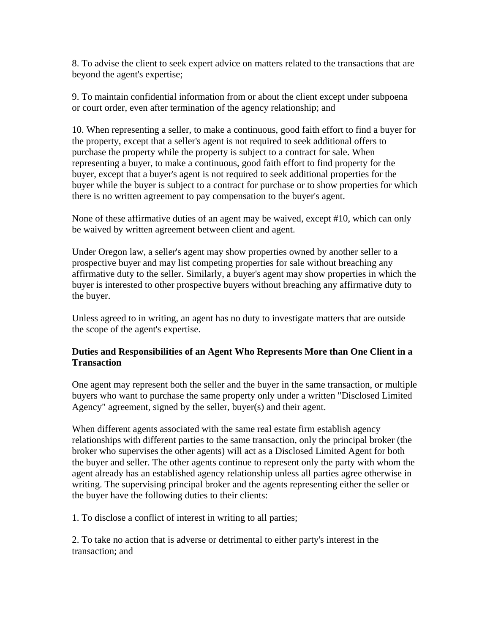8. To advise the client to seek expert advice on matters related to the transactions that are beyond the agent's expertise;

9. To maintain confidential information from or about the client except under subpoena or court order, even after termination of the agency relationship; and

10. When representing a seller, to make a continuous, good faith effort to find a buyer for the property, except that a seller's agent is not required to seek additional offers to purchase the property while the property is subject to a contract for sale. When representing a buyer, to make a continuous, good faith effort to find property for the buyer, except that a buyer's agent is not required to seek additional properties for the buyer while the buyer is subject to a contract for purchase or to show properties for which there is no written agreement to pay compensation to the buyer's agent.

None of these affirmative duties of an agent may be waived, except #10, which can only be waived by written agreement between client and agent.

Under Oregon law, a seller's agent may show properties owned by another seller to a prospective buyer and may list competing properties for sale without breaching any affirmative duty to the seller. Similarly, a buyer's agent may show properties in which the buyer is interested to other prospective buyers without breaching any affirmative duty to the buyer.

Unless agreed to in writing, an agent has no duty to investigate matters that are outside the scope of the agent's expertise.

## **Duties and Responsibilities of an Agent Who Represents More than One Client in a Transaction**

One agent may represent both the seller and the buyer in the same transaction, or multiple buyers who want to purchase the same property only under a written "Disclosed Limited Agency" agreement, signed by the seller, buyer(s) and their agent.

When different agents associated with the same real estate firm establish agency relationships with different parties to the same transaction, only the principal broker (the broker who supervises the other agents) will act as a Disclosed Limited Agent for both the buyer and seller. The other agents continue to represent only the party with whom the agent already has an established agency relationship unless all parties agree otherwise in writing. The supervising principal broker and the agents representing either the seller or the buyer have the following duties to their clients:

1. To disclose a conflict of interest in writing to all parties;

2. To take no action that is adverse or detrimental to either party's interest in the transaction; and